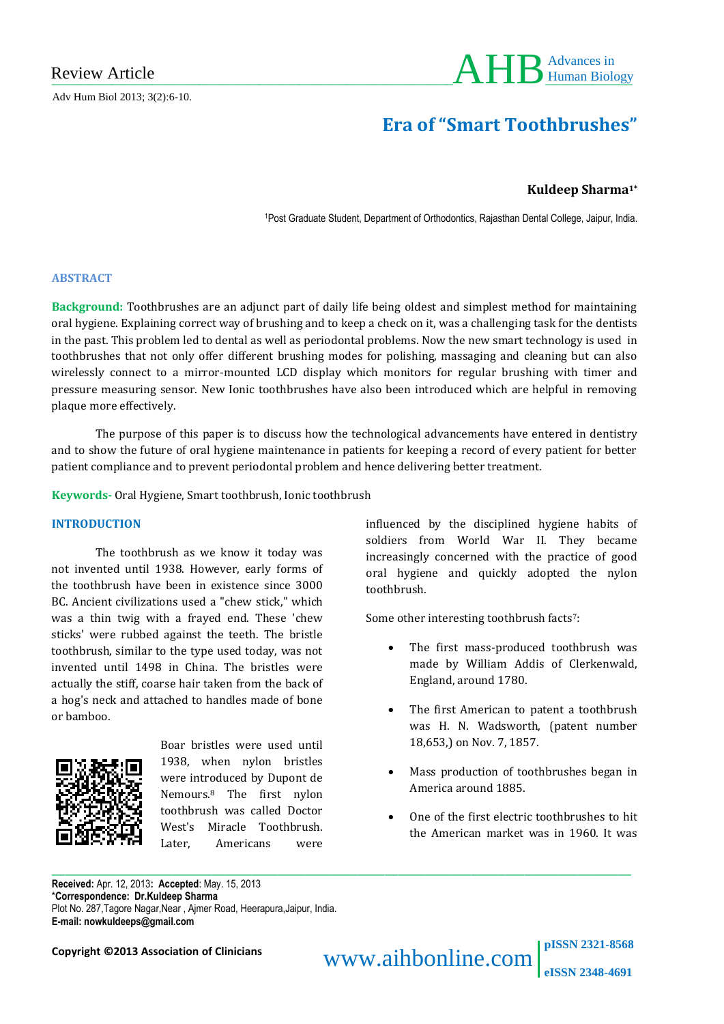Adv Hum Biol 2013; 3(2):6-10.



# **Era of "Smart Toothbrushes"**

## **Kuldeep Sharma1\***

<sup>1</sup>Post Graduate Student, Department of Orthodontics, Rajasthan Dental College, Jaipur, India.

#### **ABSTRACT**

**Background:** Toothbrushes are an adjunct part of daily life being oldest and simplest method for maintaining oral hygiene. Explaining correct way of brushing and to keep a check on it, was a challenging task for the dentists in the past. This problem led to dental as well as periodontal problems. Now the new smart technology is used in toothbrushes that not only offer different brushing modes for polishing, massaging and cleaning but can also wirelessly connect to a mirror-mounted LCD display which monitors for regular brushing with timer and pressure measuring sensor. New Ionic toothbrushes have also been introduced which are helpful in removing plaque more effectively.

The purpose of this paper is to discuss how the technological advancements have entered in dentistry and to show the future of oral hygiene maintenance in patients for keeping a record of every patient for better patient compliance and to prevent periodontal problem and hence delivering better treatment.

\_\_\_\_\_\_\_\_\_\_\_\_\_\_\_\_\_\_\_\_\_\_\_\_\_\_\_\_\_\_\_\_\_\_\_\_\_\_\_\_\_\_\_\_\_\_\_\_\_\_\_\_\_\_\_\_\_\_\_\_\_\_\_\_\_\_\_\_\_\_\_\_\_\_\_\_\_\_\_\_\_\_\_\_\_\_\_

**Keywords-** Oral Hygiene, Smart toothbrush, Ionic toothbrush

#### **INTRODUCTION**

The toothbrush as we know it today was not invented until 1938. However, early forms of the toothbrush have been in existence since 3000 BC. Ancient civilizations used a "chew stick," which was a thin twig with a frayed end. These 'chew sticks' were rubbed against the teeth. The bristle toothbrush, similar to the type used today, was not invented until 1498 in China. The bristles were actually the stiff, coarse hair taken from the back of a hog's neck and attached to handles made of bone or bamboo.



Boar bristles were used until 1938, when nylon bristles were introduced by Dupont de Nemours.<sup>8</sup> The first nylon toothbrush was called Doctor West's Miracle Toothbrush. Later, Americans were

influenced by the disciplined hygiene habits of soldiers from World War II. They became increasingly concerned with the practice of good oral hygiene and quickly adopted the nylon toothbrush.

Some other interesting toothbrush facts<sup>7</sup>:

- The first mass-produced toothbrush was made by William Addis of Clerkenwald, England, around 1780.
- The first American to patent a toothbrush was H. N. Wadsworth, (patent number 18,653,) on Nov. 7, 1857.
- Mass production of toothbrushes began in America around 1885.
- One of the first electric toothbrushes to hit the American market was in 1960. It was

**Received:** Apr. 12, 2013**: Accepted**: May. 15, 2013 \***Correspondence: Dr.Kuldeep Sharma**  Plot No. 287,Tagore Nagar,Near , Ajmer Road, Heerapura,Jaipur, India. **E-mail: nowkuldeeps@gmail.com**

**Copyright ©2013 Association of Clinicians WWW.aihbonline.com pISSN 2321-8568 eISSN 2348-4691**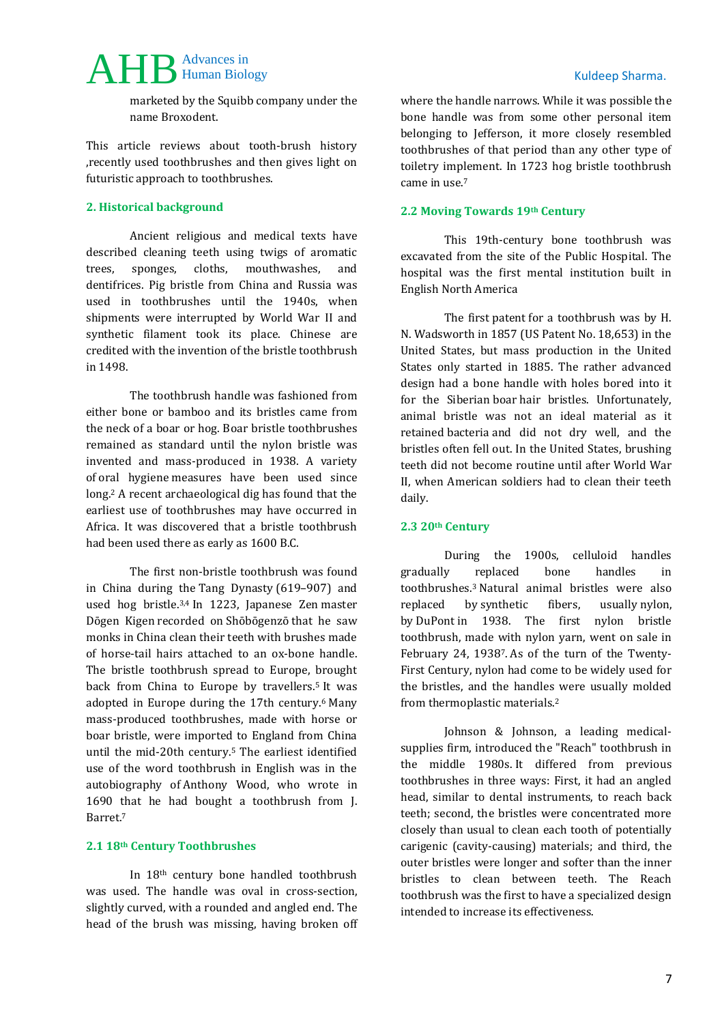## AHB Advances in Kuldeep Sharma. Advances in

marketed by the Squibb company under the name Broxodent.

This article reviews about tooth-brush history ,recently used toothbrushes and then gives light on futuristic approach to toothbrushes.

### **2. Historical background**

Ancient religious and medical texts have described cleaning teeth using twigs of aromatic trees, sponges, cloths, mouthwashes, and dentifrices. Pig bristle from China and Russia was used in toothbrushes until the 1940s, when shipments were interrupted by World War II and synthetic filament took its place. Chinese are credited with the invention of the bristle toothbrush in 1498.

The toothbrush handle was fashioned from either bone or bamboo and its bristles came from the neck of a boar or hog. Boar bristle toothbrushes remained as standard until the nylon bristle was invented and mass-produced in 1938. A variety of [oral hygiene](http://en.wikipedia.org/wiki/Oral_hygiene) measures have been used since long. <sup>2</sup> A recent archaeological dig has found that the earliest use of toothbrushes may have occurred in Africa. It was discovered that a bristle toothbrush had been used there as early as 1600 B.C.

The first non-bristle toothbrush was found in China during the [Tang Dynasty](http://en.wikipedia.org/wiki/Tang_Dynasty) (619–907) and used hog bristle.3,4 In 1223, Japanese [Zen](http://en.wikipedia.org/wiki/Zen) master [Dōgen](http://en.wikipedia.org/wiki/D%C5%8Dgen) Kigen recorded on [Shōbōgenzō](http://en.wikipedia.org/wiki/Sh%C5%8Db%C5%8Dgenz%C5%8D) that he saw monks in [China](http://en.wikipedia.org/wiki/China) clean their teeth with brushes made of horse-tail hairs attached to an ox-bone handle. The bristle toothbrush spread to Europe, brought back from China to Europe by travellers.<sup>5</sup> It was adopted in Europe during the 17th century.<sup>6</sup> Many mass-produced toothbrushes, made with horse or boar bristle, were imported to England from China until the mid-20th century.<sup>5</sup> The earliest identified use of the word toothbrush in English was in the autobiography of [Anthony Wood,](http://en.wikipedia.org/wiki/Anthony_Wood) who wrote in 1690 that he had bought a toothbrush from J. Barret.<sup>7</sup>

#### **2.1 18th Century Toothbrushes**

In 18th century bone handled toothbrush was used. The handle was oval in cross-section, slightly curved, with a rounded and angled end. The head of the brush was missing, having broken off

#### **2.2 Moving Towards 19th Century**

came in use.<sup>7</sup>

This 19th-century bone toothbrush was excavated from the site of the Public Hospital. The hospital was the first mental institution built in English North America

The first [patent](http://en.wikipedia.org/wiki/Patent) for a toothbrush was by H. N. Wadsworth in 1857 (US Patent No. 18,653) in the United States, but mass production in the United States only started in 1885. The rather advanced design had a bone handle with holes bored into it for the Siberian [boar](http://en.wikipedia.org/wiki/Boar) hair bristles. Unfortunately, animal bristle was not an ideal material as it retained [bacteria](http://en.wikipedia.org/wiki/Bacteria) and did not dry well, and the bristles often fell out. In the United States, brushing teeth did not become routine until after [World War](http://en.wikipedia.org/wiki/World_War_II)  [II,](http://en.wikipedia.org/wiki/World_War_II) when American soldiers had to clean their teeth daily.

#### **2.3 20th Century**

During the 1900s, celluloid handles gradually replaced bone handles in toothbrushes.<sup>3</sup> Natural animal bristles were also replaced by [synthetic fibers,](http://en.wikipedia.org/wiki/Synthetic_fiber) usually [nylon,](http://en.wikipedia.org/wiki/Nylon)  by [DuPont](http://en.wikipedia.org/wiki/DuPont) in 1938. The first nylon bristle toothbrush, made with nylon yarn, went on sale in February 24, 19387. As of the turn of the Twenty-First Century, nylon had come to be widely used for the bristles, and the handles were usually molded from [thermoplastic](http://en.wikipedia.org/wiki/Thermoplastic) materials.<sup>2</sup>

Johnson & Johnson, a leading medicalsupplies firm, introduced the "Reach" toothbrush in the middle 1980s. It differed from previous toothbrushes in three ways: First, it had an angled head, similar to dental instruments, to reach back teeth; second, the bristles were concentrated more closely than usual to clean each tooth of potentially carigenic (cavity-causing) materials; and third, the outer bristles were longer and softer than the inner bristles to clean between teeth. The Reach toothbrush was the first to have a specialized design intended to increase its effectiveness.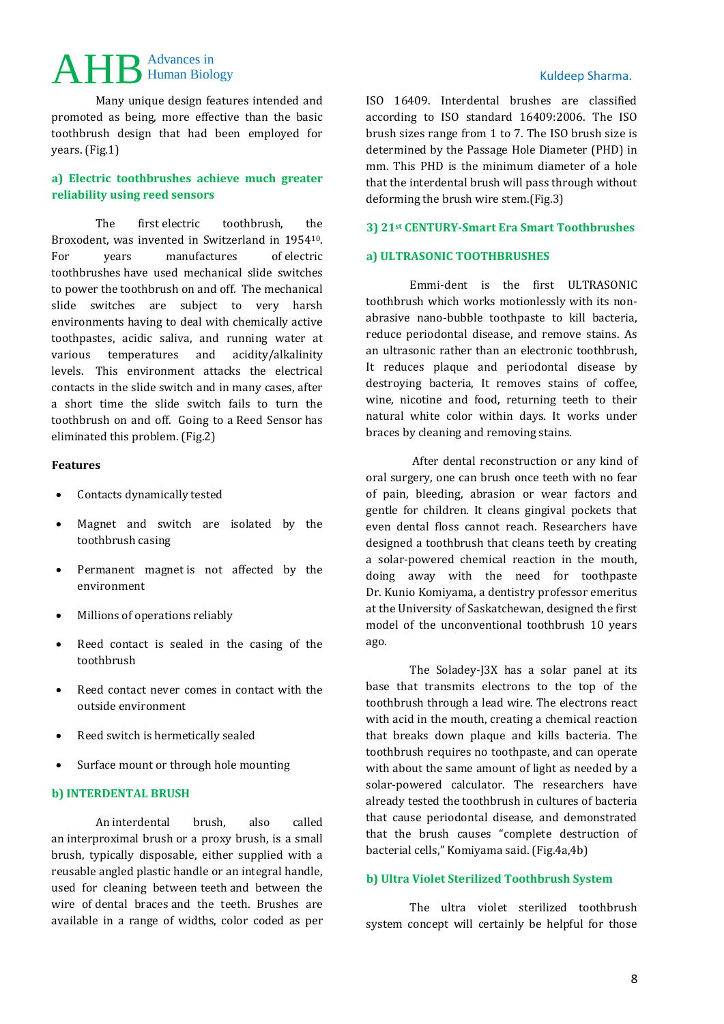## AHB Advances in Kuldeep Sharma. Advances in

Many unique design features intended and promoted as being, more effective than the basic toothbrush design that had been employed for years. (Fig.1)

## **a) Electric toothbrushes achieve much greater reliability using reed sensors**

The first electric toothbrush, the Broxodent, was invented in Switzerland in 195410. For years manufactures of electric toothbrushes have used mechanical slide switches to power the toothbrush on and off. The mechanical slide switches are subject to very harsh environments having to deal with chemically active toothpastes, acidic saliva, and running water at various temperatures and acidity/alkalinity levels. This environment attacks the electrical contacts in the slide switch and in many cases, after a short time the slide switch fails to turn the toothbrush on and off. Going to a Reed Sensor has eliminated this problem. (Fig.2)

#### **Features**

- Contacts dynamically tested
- Magnet and switch are isolated by the toothbrush casing
- Permanent magnet is not affected by the environment
- Millions of operations reliably
- Reed contact is sealed in the casing of the toothbrush
- Reed contact never comes in contact with the outside environment
- Reed switch is hermetically sealed
- [Surface mount](http://www.meder.com/smd-sensors6.html) or [through hole mounting](http://www.meder.com/through-hole-sensors6.html)

## **b) INTERDENTAL BRUSH**

An interdental brush, also called an interproximal brush or a proxy brush, is a small brush, typically disposable, either supplied with a reusable angled plastic handle or an integral handle, used for cleaning between [teeth](http://en.wikipedia.org/wiki/Tooth) and between the wire of [dental braces](http://en.wikipedia.org/wiki/Dental_brace) and the teeth. Brushes are available in a range of widths, color coded as per ISO 16409. Interdental brushes are classified according to ISO standard 16409:2006. The ISO brush sizes range from 1 to 7. The ISO brush size is determined by the Passage Hole Diameter (PHD) in mm. This PHD is the minimum diameter of a hole that the interdental brush will pass through without deforming the brush wire stem.(Fig.3)

#### **3) 21st CENTURY-Smart Era Smart Toothbrushes**

#### **a) ULTRASONIC TOOTHBRUSHES**

Emmi-dent is the first ULTRASONIC toothbrush which works motionlessly with its nonabrasive nano-bubble toothpaste to kill bacteria, reduce periodontal disease, and remove stains. As an ultrasonic rather than an electronic toothbrush, It reduces plaque and periodontal disease by destroying bacteria, It removes stains of coffee, wine, nicotine and food, returning teeth to their natural white color within days. It works under braces by cleaning and removing stains.

After dental reconstruction or any kind of oral surgery, one can brush once teeth with no fear of pain, bleeding, abrasion or wear factors and gentle for children. It cleans gingival pockets that even dental floss cannot reach. Researchers have designed a toothbrush that cleans teeth by creating a solar-powered chemical reaction in the mouth, doing away with the need for toothpaste Dr. Kunio Komiyama, a dentistry professor emeritus at the University of Saskatchewan, designed the first model of the unconventional toothbrush 10 years ago.

The Soladey-J3X has a solar panel at its base that transmits electrons to the top of the toothbrush through a lead wire. The electrons react with acid in the mouth, creating a chemical reaction that breaks down plaque and kills bacteria. The toothbrush requires no toothpaste, and can operate with about the same amount of light as needed by a solar-powered calculator. The researchers have already tested the toothbrush in cultures of bacteria that cause periodontal disease, and demonstrated that the brush causes "complete destruction of bacterial cells," Komiyama said. (Fig.4a,4b)

#### **b) Ultra Violet Sterilized Toothbrush System**

The ultra violet sterilized toothbrush system concept will certainly be helpful for those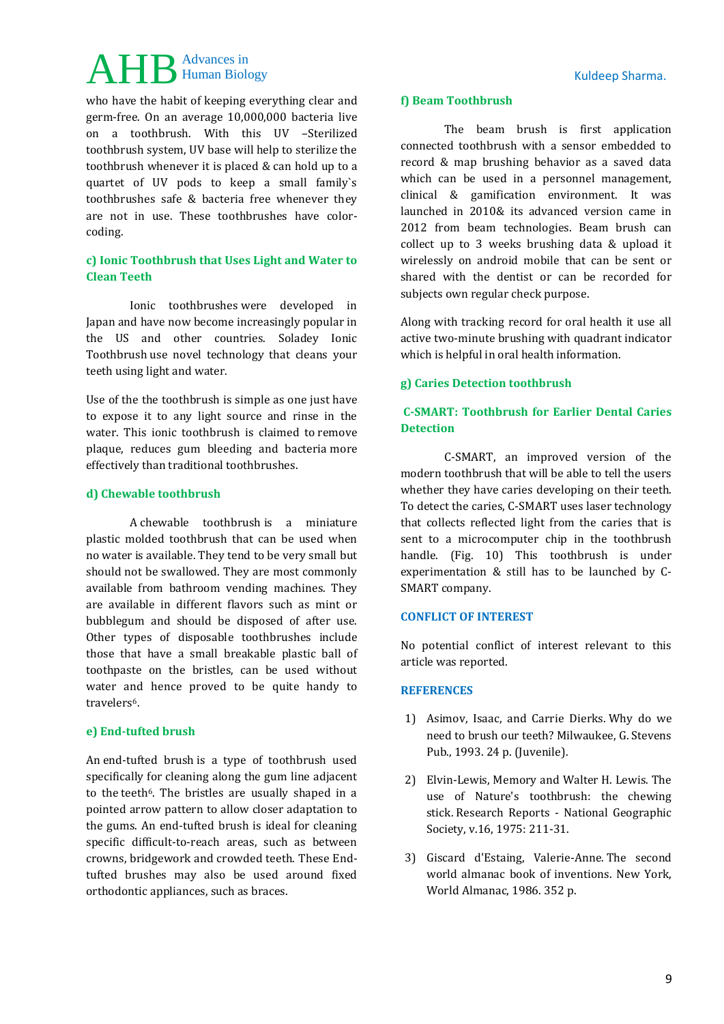## AHB Advances in Kuldeep Sharma. Advances in

who have the habit of keeping everything clear and germ-free. On an average 10,000,000 bacteria live on a toothbrush. With this UV –Sterilized toothbrush system, UV base will help to sterilize the toothbrush whenever it is placed & can hold up to a quartet of UV pods to keep a small family`s toothbrushes safe & bacteria free whenever they are not in use. These toothbrushes have colorcoding.

## **c) Ionic Toothbrush that Uses Light and Water to Clean Teeth**

Ionic toothbrushes were developed in Japan and have now become increasingly popular in the US and other countries. Soladey Ionic Toothbrush use novel technology that cleans your teeth using light and water.

Use of the the toothbrush is simple as one just have to expose it to any light source and rinse in the water. This ionic toothbrush is claimed to remove plaque, reduces gum bleeding and bacteria more effectively than traditional toothbrushes.

## **d) Chewable toothbrush**

A chewable toothbrush is a miniature plastic molded toothbrush that can be used when no [water](http://en.wikipedia.org/wiki/Water) is available. They tend to be very small but should not be swallowed. They are most commonly available from bathroom vending machines. They are available in different flavors such as mint or bubblegum and should be disposed of after use. Other types of disposable toothbrushes include those that have a small breakable plastic ball of toothpaste on the bristles, can be used without water and hence proved to be quite handy to travelers6.

#### **e) End-tufted brush**

An end-tufted brush is a type of toothbrush used specifically for cleaning along the gum line adjacent to the [teeth](http://en.wikipedia.org/wiki/Tooth)<sup>6</sup>. The bristles are usually shaped in a pointed arrow pattern to allow closer adaptation to the gums. An end-tufted brush is ideal for cleaning specific difficult-to-reach areas, such as between crowns, bridgework and crowded teeth. These Endtufted brushes may also be used around fixed orthodontic appliances, such as [braces.](http://en.wikipedia.org/wiki/Dental_braces)

#### **f) Beam Toothbrush**

The beam brush is first application connected toothbrush with a sensor embedded to record & map brushing behavior as a saved data which can be used in a personnel management, clinical & gamification environment. It was launched in 2010& its advanced version came in 2012 from beam technologies. Beam brush can collect up to 3 weeks brushing data & upload it wirelessly on android mobile that can be sent or shared with the dentist or can be recorded for subjects own regular check purpose.

Along with tracking record for oral health it use all active two-minute brushing with quadrant indicator which is helpful in oral health information.

### **g) Caries Detection toothbrush**

## **C-SMART: Toothbrush for Earlier Dental Caries Detection**

C-SMART, an improved version of the modern toothbrush that will be able to tell the users whether they have caries developing on their teeth. To detect the caries, C-SMART uses laser technology that collects reflected light from the caries that is sent to a microcomputer chip in the toothbrush handle. (Fig. 10) This toothbrush is under experimentation & still has to be launched by C-SMART company.

#### **CONFLICT OF INTEREST**

No potential conflict of interest relevant to this article was reported.

#### **REFERENCES**

- 1) Asimov, Isaac, and Carrie Dierks. Why do we need to brush our teeth? Milwaukee, G. Stevens Pub., 1993. 24 p. (Juvenile).
- 2) Elvin-Lewis, Memory and Walter H. Lewis. The use of Nature's toothbrush: the chewing stick. Research Reports - National Geographic Society, v.16, 1975: 211-31.
- 3) Giscard d'Estaing, Valerie-Anne. The second world almanac book of inventions. New York, World Almanac, 1986. 352 p.